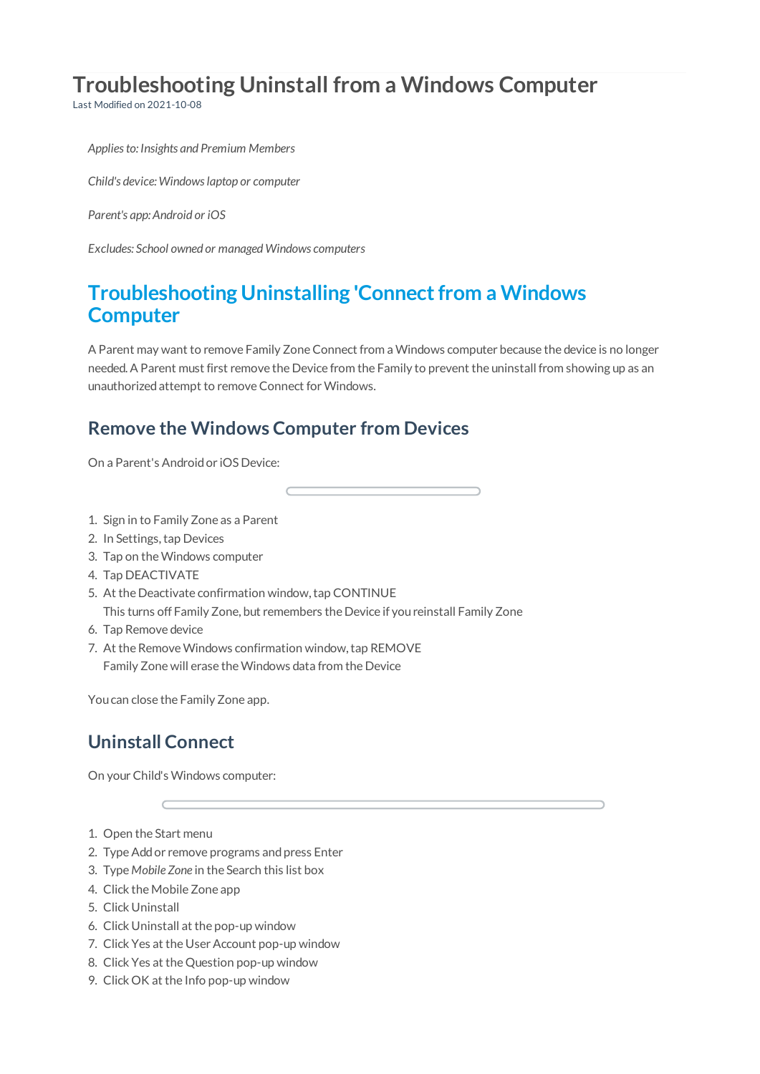# **Troubleshooting Uninstall from a Windows Computer**

Last Modified on 2021-10-08

*Appliesto: Insights and Premium Members*

*Child's device: Windowslaptop or computer*

*Parent's app: Android or iOS*

*Excludes: School owned or managed Windows computers*

## **Troubleshooting Uninstalling 'Connectfrom a Windows Computer**

A Parent may want to remove Family ZoneConnect from a Windows computer because the device is no longer needed.A Parent must first remove the Device from the Family to prevent the uninstall from showing up as an unauthorizedattempt to removeConnect forWindows.

#### **Remove the Windows Computer from Devices**

On a Parent's Androidor iOS Device:

- 1. Sign in to Family Zone as a Parent
- 2. In Settings, tap Devices
- 3. Tap on theWindows computer
- 4. Tap DEACTIVATE
- 5. At the Deactivate confirmation window, tap CONTINUE This turns off Family Zone, but remembers the Device if youreinstall Family Zone
- 6. Tap Remove device
- 7. At the Remove Windows confirmation window, tap REMOVE Family Zone will erase theWindows data from the Device

Youcan close the Family Zone app.

### **Uninstall Connect**

On your Child's Windows computer:

- 1. Open the Start menu
- 2. Type Add or remove programs and press Enter
- 3. Type *Mobile Zone* in the Search this list box
- 4. Click the Mobile Zone app
- 5. Click Uninstall
- 6. Click Uninstall at the pop-up window
- 7. Click Yes at the User Account pop-up window
- 8. Click Yes at the Question pop-up window
- 9. Click OK at the Info pop-up window